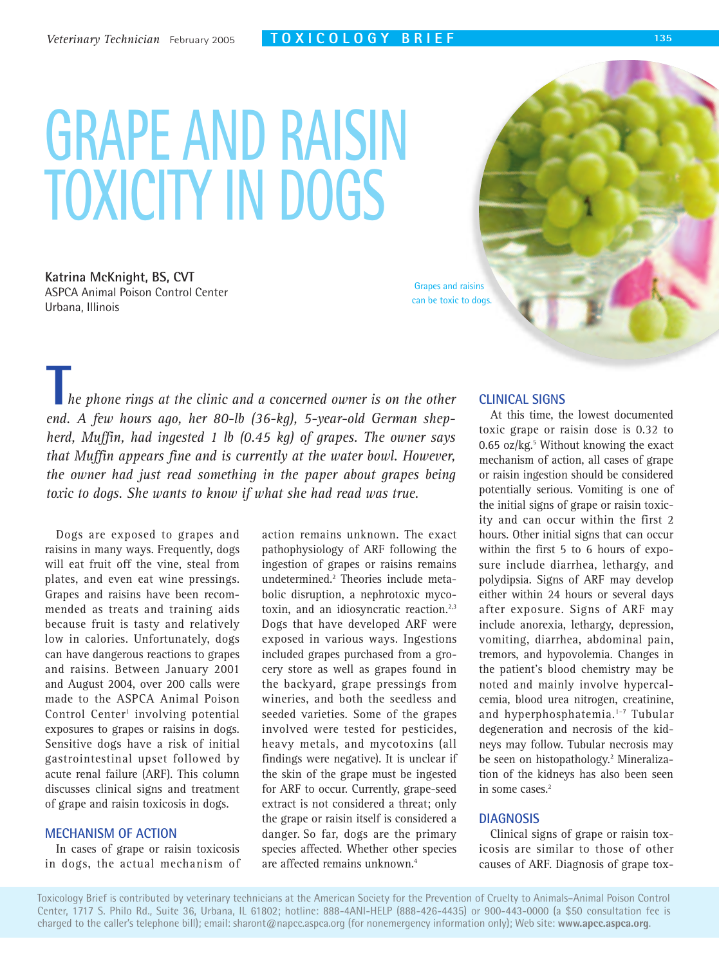# **GRAPE AND RAISIN TOXICITY IN DOGS**

**Katrina McKnight, BS, CVT** ASPCA Animal Poison Control Center Urbana, Illinois

Grapes and raisins can be toxic to dogs.

*he phone rings at the clinic and a concerned owner is on the other end.* A few hone rings at the clinic and a concerned owner is on the other<br> **The phone rings at the clinic and a concerned owner is on the other**<br> **The Solution Shep***herd, Muffin, had ingested 1 lb (0.45 kg) of grapes. The owner says that Muffin appears fine and is currently at the water bowl. However, the owner had just read something in the paper about grapes being toxic to dogs. She wants to know if what she had read was true.*

Dogs are exposed to grapes and raisins in many ways. Frequently, dogs will eat fruit off the vine, steal from plates, and even eat wine pressings. Grapes and raisins have been recommended as treats and training aids because fruit is tasty and relatively low in calories. Unfortunately, dogs can have dangerous reactions to grapes and raisins. Between January 2001 and August 2004, over 200 calls were made to the ASPCA Animal Poison Control Center<sup>1</sup> involving potential exposures to grapes or raisins in dogs. Sensitive dogs have a risk of initial gastrointestinal upset followed by acute renal failure (ARF). This column discusses clinical signs and treatment of grape and raisin toxicosis in dogs.

#### **MECHANISM OF ACTION**

In cases of grape or raisin toxicosis in dogs, the actual mechanism of

action remains unknown. The exact pathophysiology of ARF following the ingestion of grapes or raisins remains undetermined.2 Theories include metabolic disruption, a nephrotoxic mycotoxin, and an idiosyncratic reaction.<sup>2,3</sup> Dogs that have developed ARF were exposed in various ways. Ingestions included grapes purchased from a grocery store as well as grapes found in the backyard, grape pressings from wineries, and both the seedless and seeded varieties. Some of the grapes involved were tested for pesticides, heavy metals, and mycotoxins (all findings were negative). It is unclear if the skin of the grape must be ingested for ARF to occur. Currently, grape-seed extract is not considered a threat; only the grape or raisin itself is considered a danger. So far, dogs are the primary species affected. Whether other species are affected remains unknown.4

#### **CLINICAL SIGNS**

At this time, the lowest documented toxic grape or raisin dose is 0.32 to 0.65 oz/ $kg$ <sup>5</sup> Without knowing the exact mechanism of action, all cases of grape or raisin ingestion should be considered potentially serious. Vomiting is one of the initial signs of grape or raisin toxicity and can occur within the first 2 hours. Other initial signs that can occur within the first 5 to 6 hours of exposure include diarrhea, lethargy, and polydipsia. Signs of ARF may develop either within 24 hours or several days after exposure. Signs of ARF may include anorexia, lethargy, depression, vomiting, diarrhea, abdominal pain, tremors, and hypovolemia. Changes in the patient's blood chemistry may be noted and mainly involve hypercalcemia, blood urea nitrogen, creatinine, and hyperphosphatemia.<sup>1-7</sup> Tubular degeneration and necrosis of the kidneys may follow. Tubular necrosis may be seen on histopathology.<sup>2</sup> Mineralization of the kidneys has also been seen in some cases.<sup>2</sup>

#### **DIAGNOSIS**

Clinical signs of grape or raisin toxicosis are similar to those of other causes of ARF. Diagnosis of grape tox-

Toxicology Brief is contributed by veterinary technicians at the American Society for the Prevention of Cruelty to Animals–Animal Poison Control Center, 1717 S. Philo Rd., Suite 36, Urbana, IL 61802; hotline: 888-4ANI-HELP (888-426-4435) or 900-443-0000 (a \$50 consultation fee is charged to the caller's telephone bill); email: sharont@napcc.aspca.org (for nonemergency information only); Web site: **www.apcc.aspca.org**.